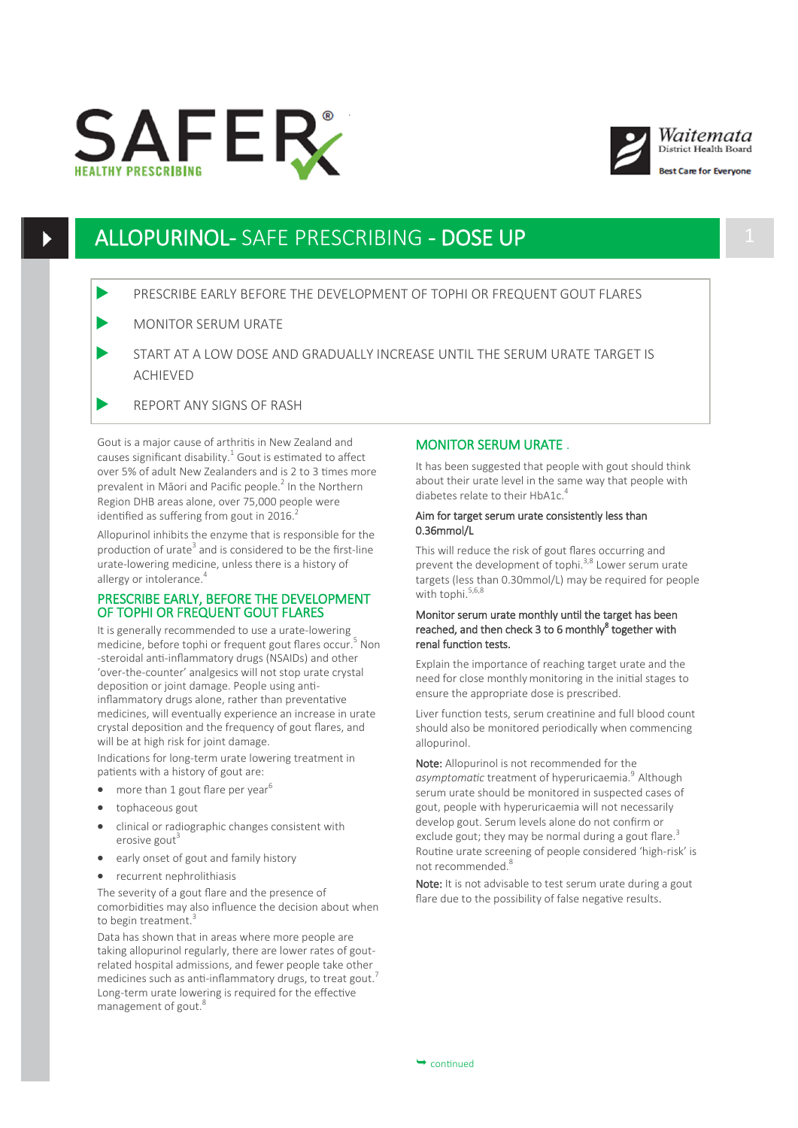





st Care for Evervone

# ALLOPURINOL- SAFE PRESCRIBING - DOSE UP 1

## PRESCRIBE EARLY BEFORE THE DEVELOPMENT OF TOPHI OR FREQUENT GOUT FLARES

- MONITOR SERUM URATE
- START AT A LOW DOSE AND GRADUALLY INCREASE UNTIL THE SERUM URATE TARGET IS ACHIEVED
- REPORT ANY SIGNS OF RASH

Gout is a major cause of arthritis in New Zealand and causes significant disability. $1$  Gout is estimated to affect over 5% of adult New Zealanders and is 2 to 3 times more prevalent in Māori and Pacific people.<sup>2</sup> In the Northern Region DHB areas alone, over 75,000 people were identified as suffering from gout in  $2016$ .<sup>2</sup>

Allopurinol inhibits the enzyme that is responsible for the production of urate<sup>3</sup> and is considered to be the first-line urate-lowering medicine, unless there is a history of allergy or intolerance.<sup>4</sup>

### PRESCRIBE EARLY, BEFORE THE DEVELOPMENT OF TOPHI OR FREQUENT GOUT FLARES

It is generally recommended to use a urate-lowering medicine, before tophi or frequent gout flares occur.<sup>5</sup> Non -steroidal anti-inflammatory drugs (NSAIDs) and other 'over-the-counter' analgesics will not stop urate crystal deposition or joint damage. People using antiinflammatory drugs alone, rather than preventative medicines, will eventually experience an increase in urate crystal deposition and the frequency of gout flares, and will be at high risk for joint damage.

Indications for long-term urate lowering treatment in patients with a history of gout are:

- more than 1 gout flare per year $^6$
- tophaceous gout
- clinical or radiographic changes consistent with erosive gout<sup>3</sup>
- early onset of gout and family history
- recurrent nephrolithiasis

The severity of a gout flare and the presence of comorbidities may also influence the decision about when to begin treatment.<sup>3</sup>

Data has shown that in areas where more people are taking allopurinol regularly, there are lower rates of goutrelated hospital admissions, and fewer people take other medicines such as anti-inflammatory drugs, to treat gout.<sup>7</sup> Long-term urate lowering is required for the effective management of gout.<sup>8</sup>

## MONITOR SERUM URATE .

It has been suggested that people with gout should think about their urate level in the same way that people with diabetes relate to their HbA1c.<sup>4</sup>

#### Aim for target serum urate consistently less than 0.36mmol/L

This will reduce the risk of gout flares occurring and prevent the development of tophi.<sup>3,8</sup> Lower serum urate targets (less than 0.30mmol/L) may be required for people with tophi.<sup>5,6,8</sup>

### Monitor serum urate monthly until the target has been reached, and then check 3 to 6 monthly<sup>8</sup> together with renal function tests.

Explain the importance of reaching target urate and the need for close monthly monitoring in the initial stages to ensure the appropriate dose is prescribed.

Liver function tests, serum creatinine and full blood count should also be monitored periodically when commencing allopurinol.

Note: Allopurinol is not recommended for the asymptomatic treatment of hyperuricaemia.<sup>9</sup> Although serum urate should be monitored in suspected cases of gout, people with hyperuricaemia will not necessarily develop gout. Serum levels alone do not confirm or exclude gout; they may be normal during a gout flare. $3$ Routine urate screening of people considered 'high-risk' is not recommended.<sup>8</sup>

Note: It is not advisable to test serum urate during a gout flare due to the possibility of false negative results.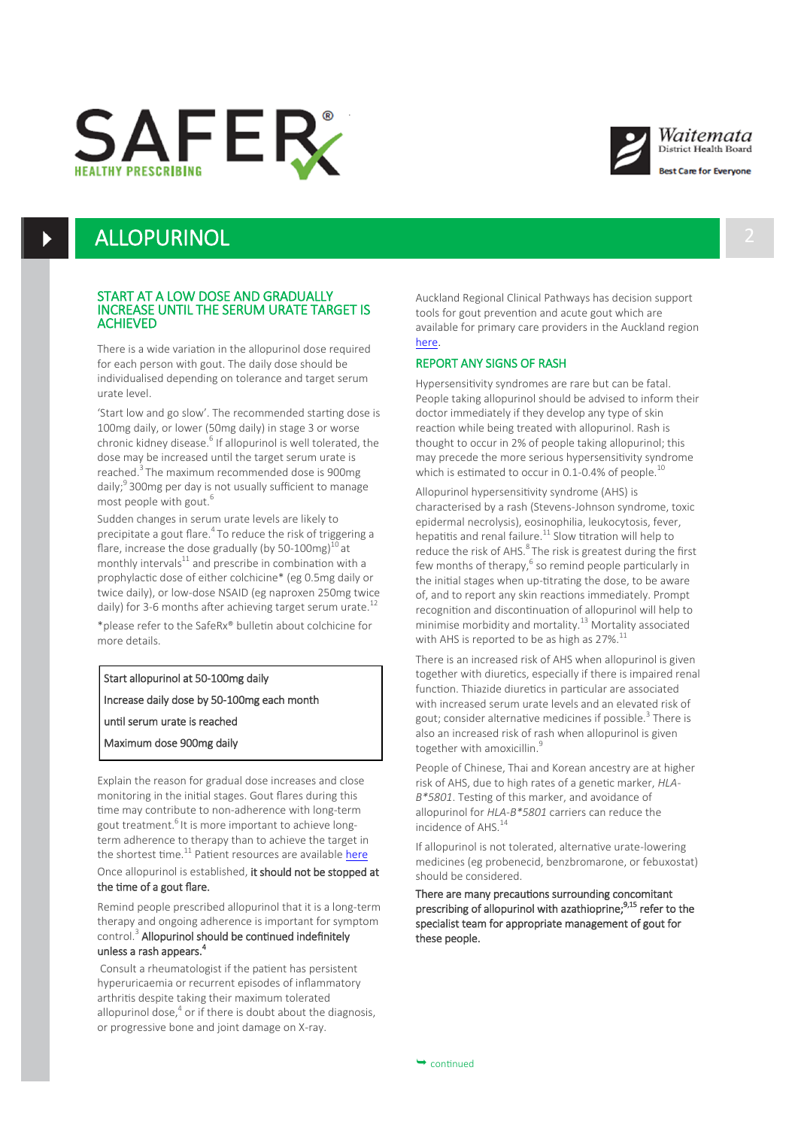





st Care for Evervone

# **ALLOPURINOL**

#### START AT A LOW DOSE AND GRADUALLY INCREASE UNTIL THE SERUM URATE TARGET IS ACHIEVED

There is a wide variation in the allopurinol dose required for each person with gout. The daily dose should be individualised depending on tolerance and target serum urate level.

'Start low and go slow'. The recommended starting dose is 100mg daily, or lower (50mg daily) in stage 3 or worse chronic kidney disease.<sup>6</sup> If allopurinol is well tolerated, the dose may be increased until the target serum urate is reached.<sup>3</sup> The maximum recommended dose is 900mg daily;<sup>9</sup> 300mg per day is not usually sufficient to manage most people with gout.<sup>6</sup>

Sudden changes in serum urate levels are likely to precipitate a gout flare.<sup>4</sup> To reduce the risk of triggering a flare, increase the dose gradually (by 50-100mg) $^{10}$  at monthly intervals $^{11}$  and prescribe in combination with a prophylactic dose of either colchicine\* (eg 0.5mg daily or twice daily), or low-dose NSAID (eg naproxen 250mg twice daily) for 3-6 months after achieving target serum urate. $^{12}$ 

\*please refer to the SafeRx® bulletin about colchicine for more details.

Start allopurinol at 50-100mg daily

Increase daily dose by 50-100mg each month

until serum urate is reached

Maximum dose 900mg daily

Explain the reason for gradual dose increases and close monitoring in the initial stages. Gout flares during this time may contribute to non-adherence with long-term gout treatment.<sup>6</sup> It is more important to achieve longterm adherence to therapy than to achieve the target in the shortest time. $11$  Patient resources are available [here](https://www.health.govt.nz/your-health/conditions-and-treatments/diseases-and-illnesses/gout) Once allopurinol is established, it should not be stopped at the time of a gout flare.

Remind people prescribed allopurinol that it is a long-term therapy and ongoing adherence is important for symptom control.<sup>3</sup> Allopurinol should be continued indefinitely unless a rash appears.<sup>4</sup>

Consult a rheumatologist if the patient has persistent hyperuricaemia or recurrent episodes of inflammatory arthritis despite taking their maximum tolerated allopurinol dose, $<sup>4</sup>$  or if there is doubt about the diagnosis,</sup> or progressive bone and joint damage on X-ray.

Auckland Regional Clinical Pathways has decision support tools for gout prevention and acute gout which are available for primary care providers in the Auckland region [here.](https://aucklandregion.healthpathways.org.nz/index.htm)

#### REPORT ANY SIGNS OF RASH

Hypersensitivity syndromes are rare but can be fatal. People taking allopurinol should be advised to inform their doctor immediately if they develop any type of skin reaction while being treated with allopurinol. Rash is thought to occur in 2% of people taking allopurinol; this may precede the more serious hypersensitivity syndrome which is estimated to occur in 0.1-0.4% of people. $^{10}$ 

Allopurinol hypersensitivity syndrome (AHS) is characterised by a rash (Stevens-Johnson syndrome, toxic epidermal necrolysis), eosinophilia, leukocytosis, fever, hepatitis and renal failure.<sup>11</sup> Slow titration will help to reduce the risk of AHS.<sup>8</sup> The risk is greatest during the first few months of therapy,<sup>6</sup> so remind people particularly in the initial stages when up-titrating the dose, to be aware of, and to report any skin reactions immediately. Prompt recognition and discontinuation of allopurinol will help to minimise morbidity and mortality.<sup>13</sup> Mortality associated with AHS is reported to be as high as  $27\%$ .<sup>11</sup>

There is an increased risk of AHS when allopurinol is given together with diuretics, especially if there is impaired renal function. Thiazide diuretics in particular are associated with increased serum urate levels and an elevated risk of gout; consider alternative medicines if possible.<sup>3</sup> There is also an increased risk of rash when allopurinol is given together with amoxicillin.<sup>9</sup>

People of Chinese, Thai and Korean ancestry are at higher risk of AHS, due to high rates of a genetic marker, *HLA-B\*5801*. Testing of this marker, and avoidance of allopurinol for *HLA-B\*5801* carriers can reduce the incidence of AHS.<sup>14</sup>

If allopurinol is not tolerated, alternative urate-lowering medicines (eg probenecid, benzbromarone, or febuxostat) should be considered.

There are many precautions surrounding concomitant prescribing of allopurinol with azathioprine;<sup>9,15</sup> refer to the specialist team for appropriate management of gout for these people.